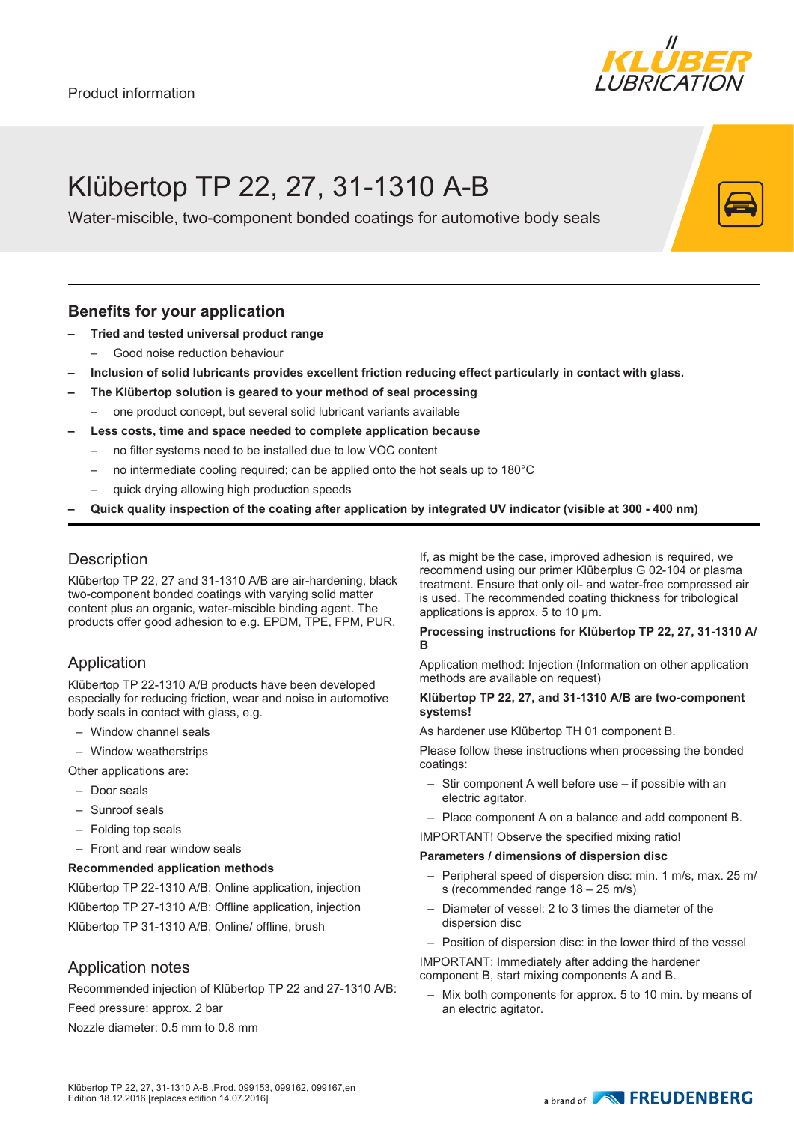

# Klübertop TP 22, 27, 31-1310 A-B

Water-miscible, two-component bonded coatings for automotive body seals

## **Benefits for your application**

- **– Tried and tested universal product range**
	- Good noise reduction behaviour
- **– Inclusion of solid lubricants provides excellent friction reducing effect particularly in contact with glass.**
	- **– The Klübertop solution is geared to your method of seal processing**
	- one product concept, but several solid lubricant variants available
- **– Less costs, time and space needed to complete application because**
	- no filter systems need to be installed due to low VOC content
	- no intermediate cooling required; can be applied onto the hot seals up to 180°C
	- quick drying allowing high production speeds

**– Quick quality inspection of the coating after application by integrated UV indicator (visible at 300 - 400 nm)**

## **Description**

Klübertop TP 22, 27 and 31-1310 A/B are air-hardening, black two-component bonded coatings with varying solid matter content plus an organic, water-miscible binding agent. The products offer good adhesion to e.g. EPDM, TPE, FPM, PUR.

## Application

Klübertop TP 22-1310 A/B products have been developed especially for reducing friction, wear and noise in automotive body seals in contact with glass, e.g.

- Window channel seals
- Window weatherstrips
- Other applications are:
- Door seals
- Sunroof seals
- Folding top seals
- Front and rear window seals

#### **Recommended application methods**

Klübertop TP 22-1310 A/B: Online application, injection Klübertop TP 27-1310 A/B: Offline application, injection Klübertop TP 31-1310 A/B: Online/ offline, brush

## Application notes

Recommended injection of Klübertop TP 22 and 27-1310 A/B:

Feed pressure: approx. 2 bar

Nozzle diameter: 0.5 mm to 0.8 mm

If, as might be the case, improved adhesion is required, we recommend using our primer Klüberplus G 02-104 or plasma treatment. Ensure that only oil- and water-free compressed air is used. The recommended coating thickness for tribological applications is approx. 5 to 10 µm.

#### **Processing instructions for Klübertop TP 22, 27, 31-1310 A/ B**

Application method: Injection (Information on other application methods are available on request)

#### **Klübertop TP 22, 27, and 31-1310 A/B are two-component systems!**

As hardener use Klübertop TH 01 component B.

Please follow these instructions when processing the bonded coatings:

- Stir component A well before use if possible with an electric agitator.
- Place component A on a balance and add component B.
- IMPORTANT! Observe the specified mixing ratio!

#### **Parameters / dimensions of dispersion disc**

- Peripheral speed of dispersion disc: min. 1 m/s, max. 25 m/ s (recommended range 18 – 25 m/s)
- Diameter of vessel: 2 to 3 times the diameter of the dispersion disc
- Position of dispersion disc: in the lower third of the vessel

IMPORTANT: Immediately after adding the hardener component B, start mixing components A and B.

– Mix both components for approx. 5 to 10 min. by means of an electric agitator.

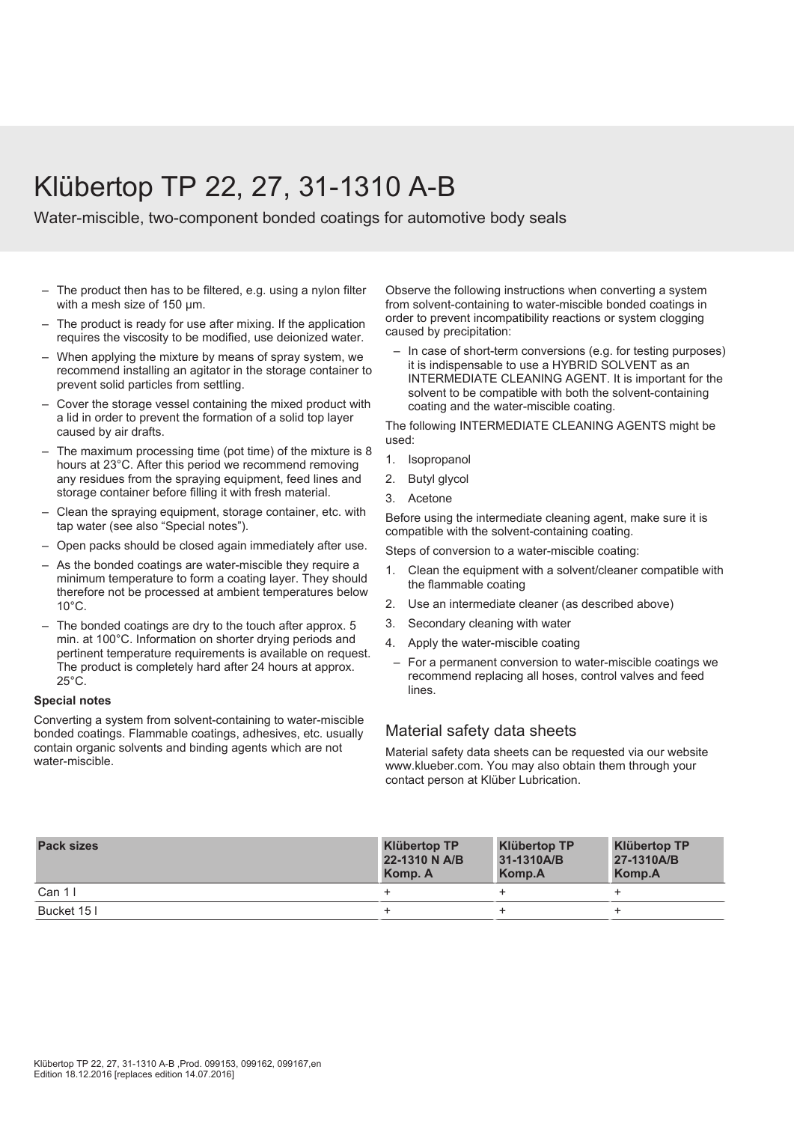## Klübertop TP 22, 27, 31-1310 A-B

Water-miscible, two-component bonded coatings for automotive body seals

- The product then has to be filtered, e.g. using a nylon filter with a mesh size of 150 um.
- The product is ready for use after mixing. If the application requires the viscosity to be modified, use deionized water.
- When applying the mixture by means of spray system, we recommend installing an agitator in the storage container to prevent solid particles from settling.
- Cover the storage vessel containing the mixed product with a lid in order to prevent the formation of a solid top layer caused by air drafts.
- The maximum processing time (pot time) of the mixture is 8 hours at 23°C. After this period we recommend removing any residues from the spraying equipment, feed lines and storage container before filling it with fresh material.
- Clean the spraying equipment, storage container, etc. with tap water (see also "Special notes").
- Open packs should be closed again immediately after use.
- As the bonded coatings are water-miscible they require a minimum temperature to form a coating layer. They should therefore not be processed at ambient temperatures below 10°C.
- The bonded coatings are dry to the touch after approx. 5 min. at 100°C. Information on shorter drying periods and pertinent temperature requirements is available on request. The product is completely hard after 24 hours at approx. 25°C.

#### **Special notes**

Converting a system from solvent-containing to water-miscible bonded coatings. Flammable coatings, adhesives, etc. usually contain organic solvents and binding agents which are not water-miscible.

Observe the following instructions when converting a system from solvent-containing to water-miscible bonded coatings in order to prevent incompatibility reactions or system clogging caused by precipitation:

In case of short-term conversions (e.g. for testing purposes) it is indispensable to use a HYBRID SOLVENT as an INTERMEDIATE CLEANING AGENT. It is important for the solvent to be compatible with both the solvent-containing coating and the water-miscible coating.

The following INTERMEDIATE CLEANING AGENTS might be used:

- 1. Isopropanol
- 2. Butyl glycol
- 3. Acetone

Before using the intermediate cleaning agent, make sure it is compatible with the solvent-containing coating.

Steps of conversion to a water-miscible coating:

- 1. Clean the equipment with a solvent/cleaner compatible with the flammable coating
- 2. Use an intermediate cleaner (as described above)
- 3. Secondary cleaning with water
- 4. Apply the water-miscible coating
- For a permanent conversion to water-miscible coatings we recommend replacing all hoses, control valves and feed lines.

### Material safety data sheets

Material safety data sheets can be requested via our website www.klueber.com. You may also obtain them through your contact person at Klüber Lubrication.

| <b>Pack sizes</b> | <b>Klübertop TP</b><br>22-1310 N A/B<br>Komp. A | <b>Klübertop TP</b><br>31-1310A/B<br>Komp.A | Klübertop TP<br>27-1310A/B<br>Komp.A |
|-------------------|-------------------------------------------------|---------------------------------------------|--------------------------------------|
| Can 11            |                                                 |                                             |                                      |
| Bucket 15 I       |                                                 |                                             |                                      |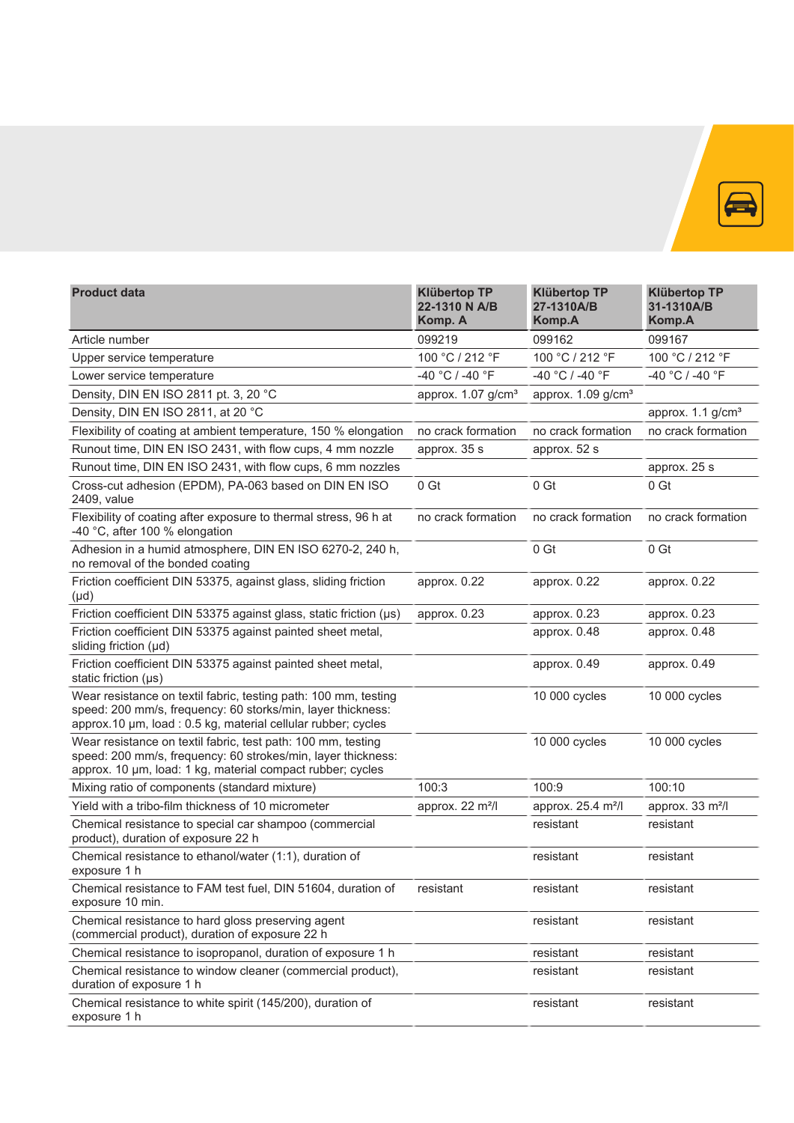

| <b>Product data</b>                                                                                                                                                                             | <b>Klübertop TP</b><br>22-1310 N A/B<br>Komp. A | <b>Klübertop TP</b><br>27-1310A/B<br>Komp.A | <b>Klübertop TP</b><br>31-1310A/B<br>Komp.A |
|-------------------------------------------------------------------------------------------------------------------------------------------------------------------------------------------------|-------------------------------------------------|---------------------------------------------|---------------------------------------------|
| Article number                                                                                                                                                                                  | 099219                                          | 099162                                      | 099167                                      |
| Upper service temperature                                                                                                                                                                       | 100 °C / 212 °F                                 | 100 °C / 212 °F                             | 100 °C / 212 °F                             |
| Lower service temperature                                                                                                                                                                       | -40 °C / -40 °F                                 | -40 °C / -40 °F                             | -40 °C / -40 °F                             |
| Density, DIN EN ISO 2811 pt. 3, 20 °C                                                                                                                                                           | approx. 1.07 g/cm <sup>3</sup>                  | approx. 1.09 g/cm <sup>3</sup>              |                                             |
| Density, DIN EN ISO 2811, at 20 °C                                                                                                                                                              |                                                 |                                             | approx. 1.1 g/cm <sup>3</sup>               |
| Flexibility of coating at ambient temperature, 150 % elongation                                                                                                                                 | no crack formation                              | no crack formation                          | no crack formation                          |
| Runout time, DIN EN ISO 2431, with flow cups, 4 mm nozzle                                                                                                                                       | approx. 35 s                                    | approx. 52 s                                |                                             |
| Runout time, DIN EN ISO 2431, with flow cups, 6 mm nozzles                                                                                                                                      |                                                 |                                             | approx. 25 s                                |
| Cross-cut adhesion (EPDM), PA-063 based on DIN EN ISO<br>2409, value                                                                                                                            | 0 Gt                                            | 0 Gt                                        | 0 Gt                                        |
| Flexibility of coating after exposure to thermal stress, 96 h at<br>-40 °C, after 100 % elongation                                                                                              | no crack formation                              | no crack formation                          | no crack formation                          |
| Adhesion in a humid atmosphere, DIN EN ISO 6270-2, 240 h,<br>no removal of the bonded coating                                                                                                   |                                                 | 0 Gt                                        | 0 Gt                                        |
| Friction coefficient DIN 53375, against glass, sliding friction<br>$(\mu d)$                                                                                                                    | approx. 0.22                                    | approx. 0.22                                | approx. 0.22                                |
| Friction coefficient DIN 53375 against glass, static friction (µs)                                                                                                                              | approx. 0.23                                    | approx. 0.23                                | approx. 0.23                                |
| Friction coefficient DIN 53375 against painted sheet metal,<br>sliding friction (µd)                                                                                                            |                                                 | approx. 0.48                                | approx. 0.48                                |
| Friction coefficient DIN 53375 against painted sheet metal,<br>static friction $(\mu s)$                                                                                                        |                                                 | approx. 0.49                                | approx. 0.49                                |
| Wear resistance on textil fabric, testing path: 100 mm, testing<br>speed: 200 mm/s, frequency: 60 storks/min, layer thickness:<br>approx.10 µm, load : 0.5 kg, material cellular rubber; cycles |                                                 | 10 000 cycles                               | 10 000 cycles                               |
| Wear resistance on textil fabric, test path: 100 mm, testing<br>speed: 200 mm/s, frequency: 60 strokes/min, layer thickness:<br>approx. 10 µm, load: 1 kg, material compact rubber; cycles      |                                                 | 10 000 cycles                               | 10 000 cycles                               |
| Mixing ratio of components (standard mixture)                                                                                                                                                   | 100:3                                           | 100:9                                       | 100:10                                      |
| Yield with a tribo-film thickness of 10 micrometer                                                                                                                                              | approx. 22 m <sup>2</sup> /l                    | approx. 25.4 m <sup>2</sup> /l              | approx. 33 m <sup>2</sup> /l                |
| Chemical resistance to special car shampoo (commercial<br>product), duration of exposure 22 h                                                                                                   |                                                 | resistant                                   | resistant                                   |
| Chemical resistance to ethanol/water (1:1), duration of<br>exposure 1 h                                                                                                                         |                                                 | resistant                                   | resistant                                   |
| Chemical resistance to FAM test fuel, DIN 51604, duration of<br>exposure 10 min.                                                                                                                | resistant                                       | resistant                                   | resistant                                   |
| Chemical resistance to hard gloss preserving agent<br>(commercial product), duration of exposure 22 h                                                                                           |                                                 | resistant                                   | resistant                                   |
| Chemical resistance to isopropanol, duration of exposure 1 h                                                                                                                                    |                                                 | resistant                                   | resistant                                   |
| Chemical resistance to window cleaner (commercial product),<br>duration of exposure 1 h                                                                                                         |                                                 | resistant                                   | resistant                                   |
| Chemical resistance to white spirit (145/200), duration of<br>exposure 1 h                                                                                                                      |                                                 | resistant                                   | resistant                                   |